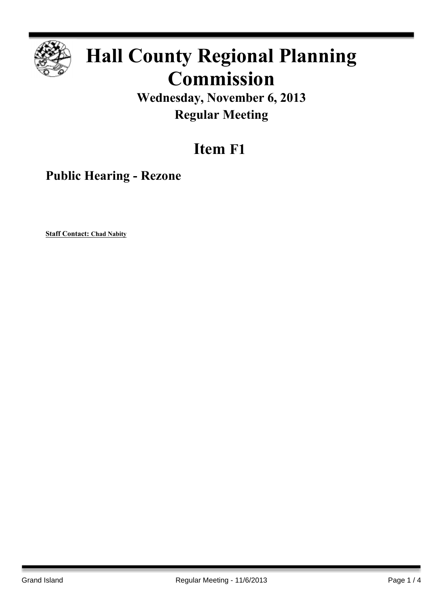

## **Hall County Regional Planning Commission**

**Wednesday, November 6, 2013 Regular Meeting**

## **Item F1**

**Public Hearing - Rezone**

**Staff Contact: Chad Nabity**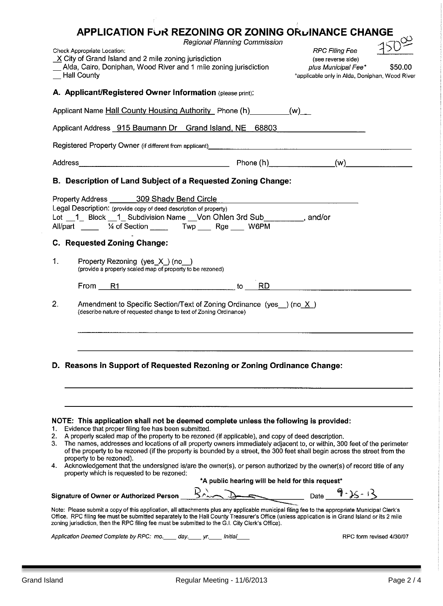|                                                                                                                                                                                                                                                                                                                                                                                                     | <b>APPLICATION FUR REZONING OR ZONING ORDINANCE CHANGE</b>                                                                                                                                                                                                                                                                                                                                                                                                                                                                                                                                                                                                                                                        | Regional Planning Commission                     |                                                                                                                      |                          |
|-----------------------------------------------------------------------------------------------------------------------------------------------------------------------------------------------------------------------------------------------------------------------------------------------------------------------------------------------------------------------------------------------------|-------------------------------------------------------------------------------------------------------------------------------------------------------------------------------------------------------------------------------------------------------------------------------------------------------------------------------------------------------------------------------------------------------------------------------------------------------------------------------------------------------------------------------------------------------------------------------------------------------------------------------------------------------------------------------------------------------------------|--------------------------------------------------|----------------------------------------------------------------------------------------------------------------------|--------------------------|
|                                                                                                                                                                                                                                                                                                                                                                                                     | Check Appropriate Location:<br>$X$ City of Grand Island and 2 mile zoning jurisdiction<br>Alda, Cairo, Doniphan, Wood River and 1 mile zoning jurisdiction<br><b>Hall County</b>                                                                                                                                                                                                                                                                                                                                                                                                                                                                                                                                  |                                                  | <b>RPC Filing Fee</b><br>(see reverse side)<br>plus Municipal Fee*<br>*applicable only in Alda, Doniphan, Wood River | \$50.00                  |
|                                                                                                                                                                                                                                                                                                                                                                                                     | A. Applicant/Registered Owner Information (please print):                                                                                                                                                                                                                                                                                                                                                                                                                                                                                                                                                                                                                                                         |                                                  |                                                                                                                      |                          |
|                                                                                                                                                                                                                                                                                                                                                                                                     | Applicant Name Hall County Housing Authority Phone (h) (w)                                                                                                                                                                                                                                                                                                                                                                                                                                                                                                                                                                                                                                                        |                                                  |                                                                                                                      |                          |
|                                                                                                                                                                                                                                                                                                                                                                                                     | Applicant Address 915 Baumann Dr Grand Island, NE 68803                                                                                                                                                                                                                                                                                                                                                                                                                                                                                                                                                                                                                                                           |                                                  |                                                                                                                      |                          |
|                                                                                                                                                                                                                                                                                                                                                                                                     | Registered Property Owner (if different from applicant) _________________________                                                                                                                                                                                                                                                                                                                                                                                                                                                                                                                                                                                                                                 |                                                  |                                                                                                                      |                          |
|                                                                                                                                                                                                                                                                                                                                                                                                     |                                                                                                                                                                                                                                                                                                                                                                                                                                                                                                                                                                                                                                                                                                                   |                                                  |                                                                                                                      |                          |
|                                                                                                                                                                                                                                                                                                                                                                                                     | B. Description of Land Subject of a Requested Zoning Change:                                                                                                                                                                                                                                                                                                                                                                                                                                                                                                                                                                                                                                                      |                                                  |                                                                                                                      |                          |
|                                                                                                                                                                                                                                                                                                                                                                                                     | Property Address _______ 309 Shady Bend Circle<br>Legal Description: (provide copy of deed description of property)<br>Lot 1 Block 1_ Subdivision Name __ Von Ohlen 3rd Sub _________, and/or<br>All/part / 1/4 of Section _____ Twp ___ Rge ___ W6PM                                                                                                                                                                                                                                                                                                                                                                                                                                                             |                                                  |                                                                                                                      |                          |
| C. Requested Zoning Change:                                                                                                                                                                                                                                                                                                                                                                         |                                                                                                                                                                                                                                                                                                                                                                                                                                                                                                                                                                                                                                                                                                                   |                                                  |                                                                                                                      |                          |
| $\mathbf{1}$                                                                                                                                                                                                                                                                                                                                                                                        | Property Rezoning (yes X) (no)<br>(provide a properly scaled map of property to be rezoned)                                                                                                                                                                                                                                                                                                                                                                                                                                                                                                                                                                                                                       |                                                  |                                                                                                                      |                          |
|                                                                                                                                                                                                                                                                                                                                                                                                     | From R1                                                                                                                                                                                                                                                                                                                                                                                                                                                                                                                                                                                                                                                                                                           | RD.<br>to                                        |                                                                                                                      |                          |
| 2.                                                                                                                                                                                                                                                                                                                                                                                                  | Amendment to Specific Section/Text of Zoning Ordinance (yes _) (no X )<br>(describe nature of requested change to text of Zoning Ordinance)                                                                                                                                                                                                                                                                                                                                                                                                                                                                                                                                                                       |                                                  |                                                                                                                      |                          |
|                                                                                                                                                                                                                                                                                                                                                                                                     | D. Reasons in Support of Requested Rezoning or Zoning Ordinance Change:                                                                                                                                                                                                                                                                                                                                                                                                                                                                                                                                                                                                                                           |                                                  |                                                                                                                      |                          |
| 1.<br>2.<br>3.                                                                                                                                                                                                                                                                                                                                                                                      | NOTE: This application shall not be deemed complete unless the following is provided:<br>Evidence that proper filing fee has been submitted.<br>A properly scaled map of the property to be rezoned (if applicable), and copy of deed description.<br>The names, addresses and locations of all property owners immediately adjacent to, or within, 300 feet of the perimeter<br>of the property to be rezoned (if the property is bounded by a street, the 300 feet shall begin across the street from the<br>property to be rezoned).<br>4. Acknowledgement that the undersigned is/are the owner(s), or person authorized by the owner(s) of record title of any<br>property which is requested to be rezoned: | *A public hearing will be held for this request* |                                                                                                                      |                          |
|                                                                                                                                                                                                                                                                                                                                                                                                     | Signature of Owner or Authorized Person BALAS Description Date 9-15-13                                                                                                                                                                                                                                                                                                                                                                                                                                                                                                                                                                                                                                            |                                                  |                                                                                                                      |                          |
| Note: Please submit a copy of this application, all attachments plus any applicable municipal filing fee to the appropriate Municipal Clerk's<br>Office. RPC filing fee must be submitted separately to the Hall County Treasurer's Office (unless application is in Grand Island or its 2 mile<br>zoning jurisdiction, then the RPC filing fee must be submitted to the G.I. City Clerk's Office). |                                                                                                                                                                                                                                                                                                                                                                                                                                                                                                                                                                                                                                                                                                                   |                                                  |                                                                                                                      |                          |
|                                                                                                                                                                                                                                                                                                                                                                                                     | Application Deemed Complete by RPC: mo. ____ day. ____ yr. ____ Initial                                                                                                                                                                                                                                                                                                                                                                                                                                                                                                                                                                                                                                           |                                                  |                                                                                                                      | RPC form revised 4/30/07 |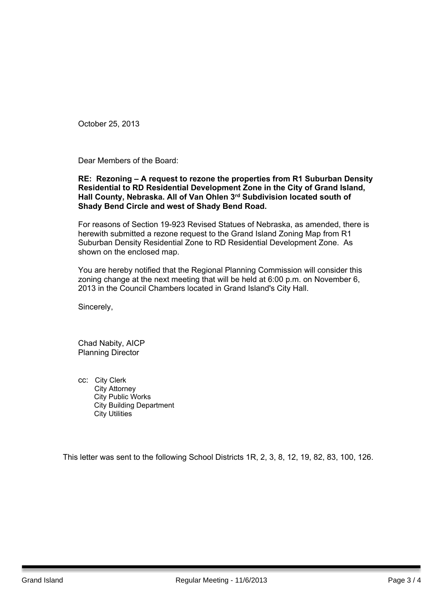October 25, 2013

Dear Members of the Board:

## **RE: Rezoning – A request to rezone the properties from R1 Suburban Density Residential to RD Residential Development Zone in the City of Grand Island, Hall County, Nebraska. All of Van Ohlen 3 rd Subdivision located south of Shady Bend Circle and west of Shady Bend Road.**

For reasons of Section 19-923 Revised Statues of Nebraska, as amended, there is herewith submitted a rezone request to the Grand Island Zoning Map from R1 Suburban Density Residential Zone to RD Residential Development Zone. As shown on the enclosed map.

You are hereby notified that the Regional Planning Commission will consider this zoning change at the next meeting that will be held at 6:00 p.m. on November 6, 2013 in the Council Chambers located in Grand Island's City Hall.

Sincerely,

Chad Nabity, AICP Planning Director

cc: City Clerk City Attorney City Public Works City Building Department City Utilities

This letter was sent to the following School Districts 1R, 2, 3, 8, 12, 19, 82, 83, 100, 126.